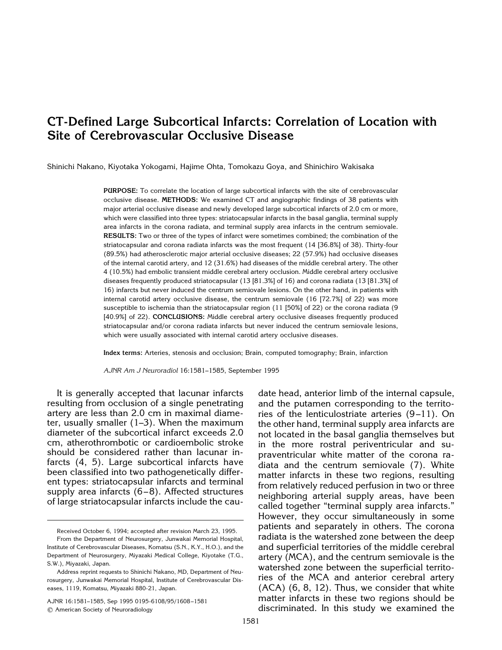# **CT-Defined Large Subcortical Infarcts: Correlation of Location with Site of Cerebrovascular Occlusive Disease**

Shinichi Nakano, Kiyotaka Yokogami, Hajime Ohta, Tomokazu Goya, and Shinichiro Wakisaka

**PURPOSE:** To correlate the location of large subcortical infarcts with the site of cerebrovascular occlusive disease. **METHODS:** We examined CT and angiographic findings of 38 patients with major arterial occlusive disease and newly developed large subcortical infarcts of 2.0 cm or more, which were classified into three types: striatocapsular infarcts in the basal ganglia, terminal supply area infarcts in the corona radiata, and terminal supply area infarcts in the centrum semiovale. **RESULTS:** Two or three of the types of infarct were sometimes combined; the combination of the striatocapsular and corona radiata infarcts was the most frequent (14 [36.8%] of 38). Thirty-four (89.5%) had atherosclerotic major arterial occlusive diseases; 22 (57.9%) had occlusive diseases of the internal carotid artery, and 12 (31.6%) had diseases of the middle cerebral artery. The other 4 (10.5%) had embolic transient middle cerebral artery occlusion. Middle cerebral artery occlusive diseases frequently produced striatocapsular (13 [81.3%] of 16) and corona radiata (13 [81.3%] of 16) infarcts but never induced the centrum semiovale lesions. On the other hand, in patients with internal carotid artery occlusive disease, the centrum semiovale (16 [72.7%] of 22) was more susceptible to ischemia than the striatocapsular region (11 [50%] of 22) or the corona radiata (9 [40.9%] of 22). **CONCLUSIONS:** Middle cerebral artery occlusive diseases frequently produced striatocapsular and/or corona radiata infarcts but never induced the centrum semiovale lesions, which were usually associated with internal carotid artery occlusive diseases.

**Index terms:** Arteries, stenosis and occlusion; Brain, computed tomography; Brain, infarction

*AJNR Am J Neuroradiol* 16:1581–1585, September 1995

It is generally accepted that lacunar infarcts resulting from occlusion of a single penetrating artery are less than 2.0 cm in maximal diameter, usually smaller (1–3). When the maximum diameter of the subcortical infarct exceeds 2.0 cm, atherothrombotic or cardioembolic stroke should be considered rather than lacunar infarcts (4, 5). Large subcortical infarcts have been classified into two pathogenetically different types: striatocapsular infarcts and terminal supply area infarcts  $(6-8)$ . Affected structures of large striatocapsular infarcts include the cau-

AJNR 16:1581–1585, Sep 1995 0195-6108/95/1608 –1581 q American Society of Neuroradiology

date head, anterior limb of the internal capsule, and the putamen corresponding to the territories of the lenticulostriate arteries (9 –11). On the other hand, terminal supply area infarcts are not located in the basal ganglia themselves but in the more rostral periventricular and supraventricular white matter of the corona radiata and the centrum semiovale (7). White matter infarcts in these two regions, resulting from relatively reduced perfusion in two or three neighboring arterial supply areas, have been called together "terminal supply area infarcts." However, they occur simultaneously in some patients and separately in others. The corona radiata is the watershed zone between the deep and superficial territories of the middle cerebral artery (MCA), and the centrum semiovale is the watershed zone between the superficial territories of the MCA and anterior cerebral artery (ACA) (6, 8, 12). Thus, we consider that white matter infarcts in these two regions should be discriminated. In this study we examined the

Received October 6, 1994; accepted after revision March 23, 1995.

From the Department of Neurosurgery, Junwakai Memorial Hospital, Institute of Cerebrovascular Diseases, Komatsu (S.N., K.Y., H.O.), and the Department of Neurosurgery, Miyazaki Medical College, Kiyotake (T.G., S.W.), Miyazaki, Japan.

Address reprint requests to Shinichi Nakano, MD, Department of Neurosurgery, Junwakai Memorial Hospital, Institute of Cerebrovascular Diseases, 1119, Komatsu, Miyazaki 880-21, Japan.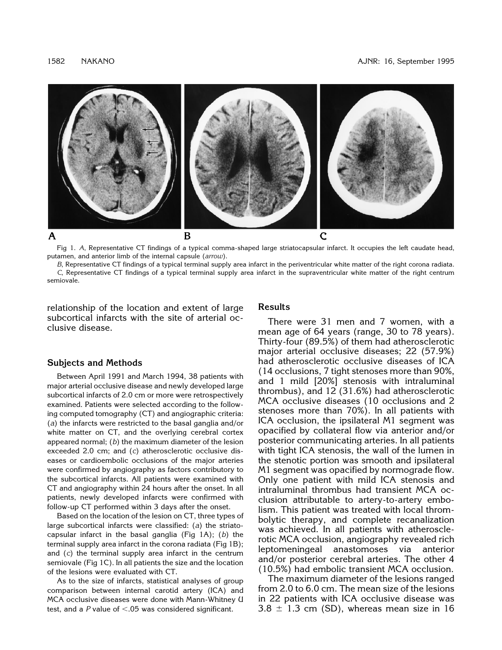

Fig 1. *A*, Representative CT findings of a typical comma-shaped large striatocapsular infarct. It occupies the left caudate head, putamen, and anterior limb of the internal capsule (*arrow*).

*B*, Representative CT findings of a typical terminal supply area infarct in the periventricular white matter of the right corona radiata. *C*, Representative CT findings of a typical terminal supply area infarct in the supraventricular white matter of the right centrum semiovale.

relationship of the location and extent of large subcortical infarcts with the site of arterial occlusive disease.

### **Subjects and Methods**

Between April 1991 and March 1994, 38 patients with major arterial occlusive disease and newly developed large subcortical infarcts of 2.0 cm or more were retrospectively examined. Patients were selected according to the following computed tomography (CT) and angiographic criteria: (*a*) the infarcts were restricted to the basal ganglia and/or white matter on CT, and the overlying cerebral cortex appeared normal; (*b*) the maximum diameter of the lesion exceeded 2.0 cm; and (*c*) atherosclerotic occlusive diseases or cardioembolic occlusions of the major arteries were confirmed by angiography as factors contributory to the subcortical infarcts. All patients were examined with CT and angiography within 24 hours after the onset. In all patients, newly developed infarcts were confirmed with follow-up CT performed within 3 days after the onset.

Based on the location of the lesion on CT, three types of large subcortical infarcts were classified: (*a*) the striatocapsular infarct in the basal ganglia (Fig 1A); (*b*) the terminal supply area infarct in the corona radiata (Fig 1B); and (*c*) the terminal supply area infarct in the centrum semiovale (Fig 1C). In all patients the size and the location of the lesions were evaluated with CT.

As to the size of infarcts, statistical analyses of group comparison between internal carotid artery (ICA) and MCA occlusive diseases were done with Mann-Whitney U test, and a  $P$  value of  $< .05$  was considered significant.

## **Results**

There were 31 men and 7 women, with a mean age of 64 years (range, 30 to 78 years). Thirty-four (89.5%) of them had atherosclerotic major arterial occlusive diseases; 22 (57.9%) had atherosclerotic occlusive diseases of ICA (14 occlusions, 7 tight stenoses more than 90%, and 1 mild [20%] stenosis with intraluminal thrombus), and 12 (31.6%) had atherosclerotic MCA occlusive diseases (10 occlusions and 2 stenoses more than 70%). In all patients with ICA occlusion, the ipsilateral M1 segment was opacified by collateral flow via anterior and/or posterior communicating arteries. In all patients with tight ICA stenosis, the wall of the lumen in the stenotic portion was smooth and ipsilateral M1 segment was opacified by normograde flow. Only one patient with mild ICA stenosis and intraluminal thrombus had transient MCA occlusion attributable to artery-to-artery embolism. This patient was treated with local thrombolytic therapy, and complete recanalization was achieved. In all patients with atherosclerotic MCA occlusion, angiography revealed rich leptomeningeal anastomoses via anterior and/or posterior cerebral arteries. The other 4 (10.5%) had embolic transient MCA occlusion.

The maximum diameter of the lesions ranged from 2.0 to 6.0 cm. The mean size of the lesions in 22 patients with ICA occlusive disease was  $3.8 \pm 1.3$  cm (SD), whereas mean size in 16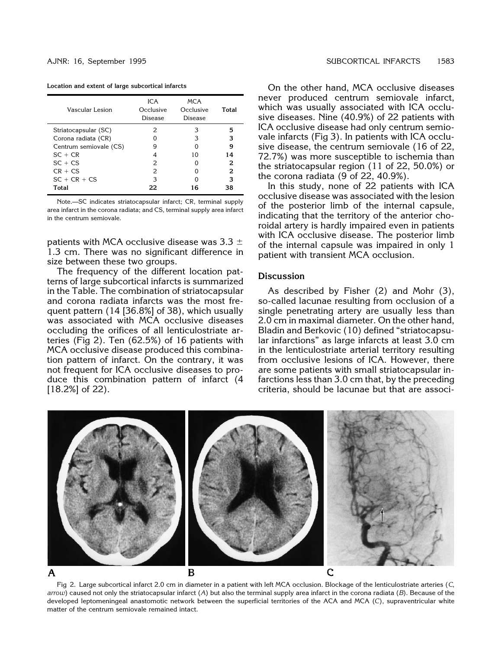|  |  |  |  | Location and extent of large subcortical infarcts |  |
|--|--|--|--|---------------------------------------------------|--|
|--|--|--|--|---------------------------------------------------|--|

| Vascular Lesion        | ICA<br>Occlusive<br>Disease | <b>MCA</b><br>Occlusive<br>Disease | Total |
|------------------------|-----------------------------|------------------------------------|-------|
| Striatocapsular (SC)   | 2                           | З                                  | 5     |
| Corona radiata (CR)    |                             | З                                  | з     |
| Centrum semiovale (CS) | g                           |                                    | 9     |
| $SC + CR$              |                             | 10                                 | 14    |
| $SC + CS$              | 2                           |                                    | 2     |
| $CR + CS$              | $\mathcal{P}$               |                                    | 2     |
| $SC + CR + CS$         | 3                           |                                    | 3     |
| Total                  | 22                          | 16                                 | 38    |

Note.—SC indicates striatocapsular infarct; CR, terminal supply area infarct in the corona radiata; and CS, terminal supply area infarct in the centrum semiovale.

patients with MCA occlusive disease was  $3.3 \pm$ 1.3 cm. There was no significant difference in size between these two groups.

The frequency of the different location patterns of large subcortical infarcts is summarized in the Table. The combination of striatocapsular and corona radiata infarcts was the most frequent pattern (14 [36.8%] of 38), which usually was associated with MCA occlusive diseases occluding the orifices of all lenticulostriate arteries (Fig 2). Ten (62.5%) of 16 patients with MCA occlusive disease produced this combination pattern of infarct. On the contrary, it was not frequent for ICA occlusive diseases to produce this combination pattern of infarct (4 [18.2%] of 22).

On the other hand, MCA occlusive diseases never produced centrum semiovale infarct, which was usually associated with ICA occlusive diseases. Nine (40.9%) of 22 patients with ICA occlusive disease had only centrum semiovale infarcts (Fig 3). In patients with ICA occlusive disease, the centrum semiovale (16 of 22, 72.7%) was more susceptible to ischemia than the striatocapsular region (11 of 22, 50.0%) or the corona radiata (9 of 22, 40.9%).

In this study, none of 22 patients with ICA occlusive disease was associated with the lesion of the posterior limb of the internal capsule, indicating that the territory of the anterior choroidal artery is hardly impaired even in patients with ICA occlusive disease. The posterior limb of the internal capsule was impaired in only 1 patient with transient MCA occlusion.

# **Discussion**

As described by Fisher (2) and Mohr (3), so-called lacunae resulting from occlusion of a single penetrating artery are usually less than 2.0 cm in maximal diameter. On the other hand, Bladin and Berkovic (10) defined "striatocapsular infarctions" as large infarcts at least 3.0 cm in the lenticulostriate arterial territory resulting from occlusive lesions of ICA. However, there are some patients with small striatocapsular infarctions less than 3.0 cm that, by the preceding criteria, should be lacunae but that are associ-



Fig 2. Large subcortical infarct 2.0 cm in diameter in a patient with left MCA occlusion. Blockage of the lenticulostriate arteries (*C*, *arrow*) caused not only the striatocapsular infarct (*A*) but also the terminal supply area infarct in the corona radiata (*B*). Because of the developed leptomeningeal anastomotic network between the superficial territories of the ACA and MCA (*C*), supraventricular white matter of the centrum semiovale remained intact.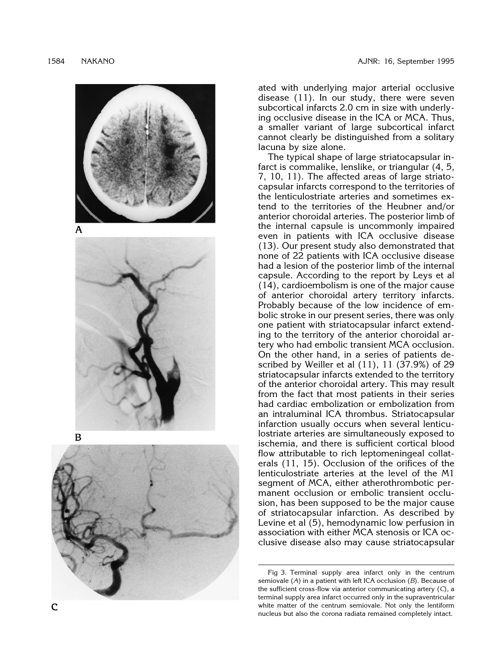

ated with underlying major arterial occlusive disease (11). In our study, there were seven subcortical infarcts 2.0 cm in size with underlying occlusive disease in the ICA or MCA. Thus, a smaller variant of large subcortical infarct cannot clearly be distinguished from a solitary lacuna by size alone.

The typical shape of large striatocapsular infarct is commalike, lenslike, or triangular (4, 5, 7, 10, 11). The affected areas of large striatocapsular infarcts correspond to the territories of the lenticulostriate arteries and sometimes extend to the territories of the Heubner and/or anterior choroidal arteries. The posterior limb of the internal capsule is uncommonly impaired even in patients with ICA occlusive disease (13). Our present study also demonstrated that none of 22 patients with ICA occlusive disease had a lesion of the posterior limb of the internal capsule. According to the report by Leys et al (14), cardioembolism is one of the major cause of anterior choroidal artery territory infarcts. Probably because of the low incidence of embolic stroke in our present series, there was only one patient with striatocapsular infarct extending to the territory of the anterior choroidal artery who had embolic transient MCA occlusion. On the other hand, in a series of patients described by Weiller et al (11), 11 (37.9%) of 29 striatocapsular infarcts extended to the territory of the anterior choroidal artery. This may result from the fact that most patients in their series had cardiac embolization or embolization from an intraluminal ICA thrombus. Striatocapsular infarction usually occurs when several lenticulostriate arteries are simultaneously exposed to ischemia, and there is sufficient cortical blood flow attributable to rich leptomeningeal collaterals (11, 15). Occlusion of the orifices of the lenticulostriate arteries at the level of the M1 segment of MCA, either atherothrombotic permanent occlusion or embolic transient occlusion, has been supposed to be the major cause of striatocapsular infarction. As described by Levine et al (5), hemodynamic low perfusion in association with either MCA stenosis or ICA occlusive disease also may cause striatocapsular

Fig 3. Terminal supply area infarct only in the centrum semiovale ( *A*) in a patient with left ICA occlusion ( *B*). Because of the sufficient cross-flow via anterior communicating artery ( *C*), a terminal supply area infarct occurred only in the supraventricular white matter of the centrum semiovale. Not only the lentiform nucleus but also the corona radiata remained completely intact.